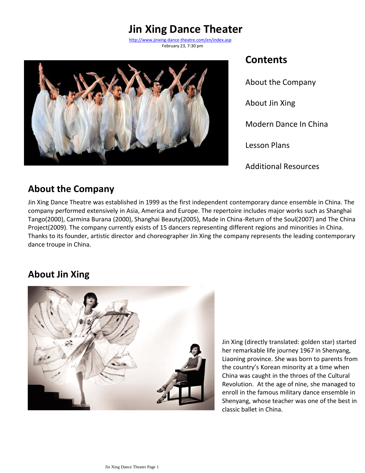# **Jin Xing Dance Theater**

 February 23, 7:30 pm <http://www.jinxing-dance-theatre.com/en/index.asp>



### **Contents**

About the Company About Jin Xing Modern Dance In China Lesson Plans Additional Resources

### **About the Company**

Jin Xing Dance Theatre was established in 1999 as the first independent contemporary dance ensemble in China. The company performed extensively in Asia, America and Europe. The repertoire includes major works such as Shanghai Tango(2000), Carmina Burana (2000), Shanghai Beauty(2005), Made in China-Return of the Soul(2007) and The China Project(2009). The company currently exists of 15 dancers representing different regions and minorities in China. Thanks to its founder, artistic director and choreographer Jin Xing the company represents the leading contemporary dance troupe in China.

## **About Jin Xing**



Jin Xing (directly translated: golden star) started her remarkable life journey 1967 in Shenyang, Liaoning province. She was born to parents from the country's Korean minority at a time when China was caught in the throes of the Cultural Revolution. At the age of nine, she managed to enroll in the famous military dance ensemble in Shenyang, whose teacher was one of the best in classic ballet in China.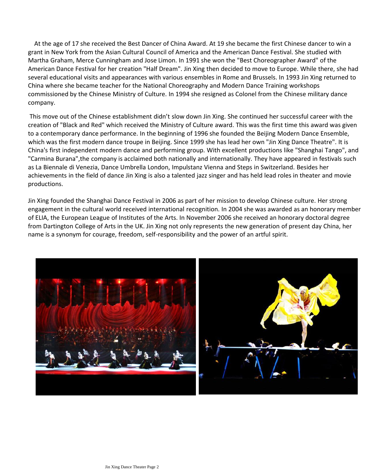At the age of 17 she received the Best Dancer of China Award. At 19 she became the first Chinese dancer to win a grant in New York from the Asian Cultural Council of America and the American Dance Festival. She studied with Martha Graham, Merce Cunningham and Jose Limon. In 1991 she won the "Best Choreographer Award" of the American Dance Festival for her creation "Half Dream". Jin Xing then decided to move to Europe. While there, she had several educational visits and appearances with various ensembles in Rome and Brussels. In 1993 Jin Xing returned to China where she became teacher for the National Choreography and Modern Dance Training workshops commissioned by the Chinese Ministry of Culture. In 1994 she resigned as Colonel from the Chinese military dance company.

This move out of the Chinese establishment didn't slow down Jin Xing. She continued her successful career with the creation of "Black and Red" which received the Ministry of Culture award. This was the first time this award was given to a contemporary dance performance. In the beginning of 1996 she founded the Beijing Modern Dance Ensemble, which was the first modern dance troupe in Beijing. Since 1999 she has lead her own "Jin Xing Dance Theatre". It is China's first independent modern dance and performing group. With excellent productions like "Shanghai Tango", and "Carmina Burana",the company is acclaimed both nationally and internationally. They have appeared in festivals such as La Biennale di Venezia, Dance Umbrella London, Impulstanz Vienna and Steps in Switzerland. Besides her achievements in the field of dance Jin Xing is also a talented jazz singer and has held lead roles in theater and movie productions.

Jin Xing founded the Shanghai Dance Festival in 2006 as part of her mission to develop Chinese culture. Her strong engagement in the cultural world received international recognition. In 2004 she was awarded as an honorary member of ELIA, the European League of Institutes of the Arts. In November 2006 she received an honorary doctoral degree from Dartington College of Arts in the UK. Jin Xing not only represents the new generation of present day China, her name is a synonym for courage, freedom, self-responsibility and the power of an artful spirit.



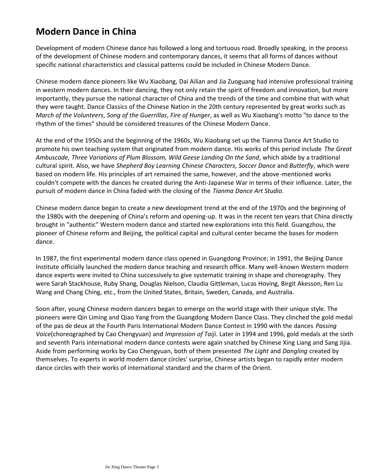### **Modern Dance in China**

Development of modern Chinese dance has followed a long and tortuous road. Broadly speaking, in the process of the development of Chinese modern and contemporary dances, it seems that all forms of dances without specific national characteristics and classical patterns could be included in Chinese Modern Dance.

Chinese modern dance pioneers like Wu Xiaobang, Dai Ailian and Jia Zuoguang had intensive professional training in western modern dances. In their dancing, they not only retain the spirit of freedom and innovation, but more importantly, they pursue the national character of China and the trends of the time and combine that with what they were taught. Dance Classics of the Chinese Nation in the 20th century represented by great works such as *March of the Volunteers*, *Song of the Guerrillas*, *Fire of Hunger*, as well as Wu Xiaobang's motto "to dance to the rhythm of the times" should be considered treasures of the Chinese Modern Dance.

At the end of the 1950s and the beginning of the 1960s, Wu Xiaobang set up the Tianma Dance Art Studio to promote his own teaching system that originated from modern dance. His works of this period include *The Great Ambuscade, Three Variations of Plum Blossom, Wild Geese Landing On the Sand*, which abide by a traditional cultural spirit. Also, we have *Shepherd Boy Learning Chinese Characters*, *Soccer Dance* and *Butterfly*, which were based on modern life. His principles of art remained the same, however, and the above-mentioned works couldn't compete with the dances he created during the Anti-Japanese War in terms of their influence. Later, the pursuit of modern dance in China faded with the closing of the *Tianma Dance Art Studio*.

Chinese modern dance began to create a new development trend at the end of the 1970s and the beginning of the 1980s with the deepening of China's reform and opening-up. It was in the recent ten years that China directly brought in "authentic" Western modern dance and started new explorations into this field. Guangzhou, the pioneer of Chinese reform and Beijing, the political capital and cultural center became the bases for modern dance.

In 1987, the first experimental modern dance class opened in Guangdong Province; in 1991, the Beijing Dance Institute officially launched the modern dance teaching and research office. Many well-known Western modern dance experts were invited to China successively to give systematic training in shape and choreography. They were Sarah Stackhouse, Ruby Shang, Douglas Nielson, Claudia Gittleman, Lucas Hoving, Birgit Akesson, Ren Lu Wang and Chang Ching, etc., from the United States, Britain, Sweden, Canada, and Australia.

Soon after, young Chinese modern dancers began to emerge on the world stage with their unique style. The pioneers were Qin Liming and Qiao Yang from the Guangdong Modern Dance Class. They clinched the gold medal of the pas de deux at the Fourth Paris International Modern Dance Contest in 1990 with the dances *Passing Voice*(choreographed by Cao Chengyuan) and *Impression of Taiji*. Later in 1994 and 1996, gold medals at the sixth and seventh Paris international modern dance contests were again snatched by Chinese Xing Liang and Sang Jijia. Aside from performing works by Cao Chengyuan, both of them presented *The Light* and *Dangling* created by themselves. To experts in world modern dance circles' surprise, Chinese artists began to rapidly enter modern dance circles with their works of international standard and the charm of the Orient.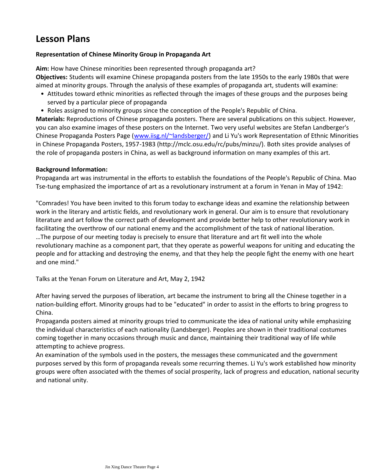### **Lesson Plans**

#### **Representation of Chinese Minority Group in Propaganda Art**

**Aim:** How have Chinese minorities been represented through propaganda art? **Objectives:** Students will examine Chinese propaganda posters from the late 1950s to the early 1980s that were aimed at minority groups. Through the analysis of these examples of propaganda art, students will examine:

- Attitudes toward ethnic minorities as reflected through the images of these groups and the purposes being served by a particular piece of propaganda
- Roles assigned to minority groups since the conception of the People's Republic of China.

**Materials:** Reproductions of Chinese propaganda posters. There are several publications on this subject. However, you can also examine images of these posters on the Internet. Two very useful websites are Stefan Landberger's Chinese Propaganda Posters Page ([www.iisg.nl/~landsberger/\)](http://www.iisg.nl/%7Elandsberger/) and Li Yu's work Representation of Ethnic Minorities in Chinese Propaganda Posters, 1957-1983 (http://mclc.osu.edu/rc/pubs/minzu/). Both sites provide analyses of the role of propaganda posters in China, as well as background information on many examples of this art.

#### **Background Information:**

Propaganda art was instrumental in the efforts to establish the foundations of the People's Republic of China. Mao Tse-tung emphasized the importance of art as a revolutionary instrument at a forum in Yenan in May of 1942:

"Comrades! You have been invited to this forum today to exchange ideas and examine the relationship between work in the literary and artistic fields, and revolutionary work in general. Our aim is to ensure that revolutionary literature and art follow the correct path of development and provide better help to other revolutionary work in facilitating the overthrow of our national enemy and the accomplishment of the task of national liberation. …The purpose of our meeting today is precisely to ensure that literature and art fit well into the whole revolutionary machine as a component part, that they operate as powerful weapons for uniting and educating the people and for attacking and destroying the enemy, and that they help the people fight the enemy with one heart and one mind."

Talks at the Yenan Forum on Literature and Art, May 2, 1942

After having served the purposes of liberation, art became the instrument to bring all the Chinese together in a nation-building effort. Minority groups had to be "educated" in order to assist in the efforts to bring progress to China.

Propaganda posters aimed at minority groups tried to communicate the idea of national unity while emphasizing the individual characteristics of each nationality (Landsberger). Peoples are shown in their traditional costumes coming together in many occasions through music and dance, maintaining their traditional way of life while attempting to achieve progress.

An examination of the symbols used in the posters, the messages these communicated and the government purposes served by this form of propaganda reveals some recurring themes. Li Yu's work established how minority groups were often associated with the themes of social prosperity, lack of progress and education, national security and national unity.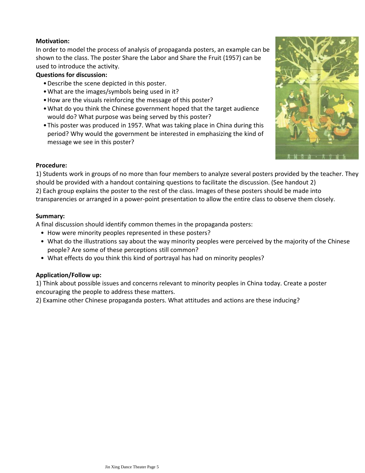#### **Motivation:**

In order to model the process of analysis of propaganda posters, an example can be shown to the class. The poster Share the Labor and Share the Fruit (1957) can be used to introduce the activity.

#### **Questions for discussion:**

- •Describe the scene depicted in this poster.
- •What are the images/symbols being used in it?
- •How are the visuals reinforcing the message of this poster?
- What do you think the Chinese government hoped that the target audience would do? What purpose was being served by this poster?
- This poster was produced in 1957. What was taking place in China during this period? Why would the government be interested in emphasizing the kind of message we see in this poster?



#### **Procedure:**

1) Students work in groups of no more than four members to analyze several posters provided by the teacher. They should be provided with a handout containing questions to facilitate the discussion. (See handout 2) 2) Each group explains the poster to the rest of the class. Images of these posters should be made into transparencies or arranged in a power-point presentation to allow the entire class to observe them closely.

#### **Summary:**

A final discussion should identify common themes in the propaganda posters:

- How were minority peoples represented in these posters?
- What do the illustrations say about the way minority peoples were perceived by the majority of the Chinese people? Are some of these perceptions still common?
- What effects do you think this kind of portrayal has had on minority peoples?

#### **Application/Follow up:**

1) Think about possible issues and concerns relevant to minority peoples in China today. Create a poster encouraging the people to address these matters.

2) Examine other Chinese propaganda posters. What attitudes and actions are these inducing?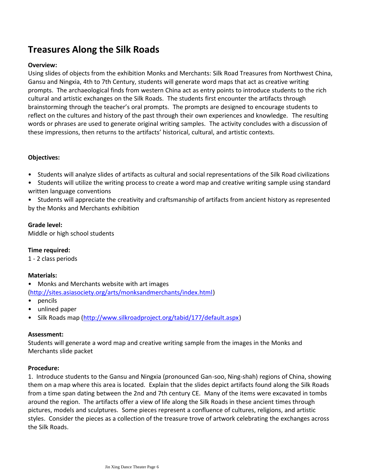## **Treasures Along the Silk Roads**

#### **Overview:**

Using slides of objects from the exhibition Monks and Merchants: Silk Road Treasures from Northwest China, Gansu and Ningxia, 4th to 7th Century, students will generate word maps that act as creative writing prompts. The archaeological finds from western China act as entry points to introduce students to the rich cultural and artistic exchanges on the Silk Roads. The students first encounter the artifacts through brainstorming through the teacher's oral prompts. The prompts are designed to encourage students to reflect on the cultures and history of the past through their own experiences and knowledge. The resulting words or phrases are used to generate original writing samples. The activity concludes with a discussion of these impressions, then returns to the artifacts' historical, cultural, and artistic contexts.

#### **Objectives:**

- Students will analyze slides of artifacts as cultural and social representations of the Silk Road civilizations
- Students will utilize the writing process to create a word map and creative writing sample using standard written language conventions
- Students will appreciate the creativity and craftsmanship of artifacts from ancient history as represented by the Monks and Merchants exhibition

#### **Grade level:**

Middle or high school students

**Time required:** 

1 - 2 class periods

#### **Materials:**

- Monks and Merchants website with art images [\(http://sites.asiasociety.org/arts/monksandmerchants/index.html\)](http://sites.asiasociety.org/arts/monksandmerchants/index.html)
- pencils
- unlined paper
- Silk Roads map ([http://www.silkroadproject.org/tabid/177/default.aspx\)](http://www.silkroadproject.org/tabid/177/default.aspx)

#### **Assessment:**

Students will generate a word map and creative writing sample from the images in the Monks and Merchants slide packet

#### **Procedure:**

1. Introduce students to the Gansu and Ningxia (pronounced Gan-soo, Ning-shah) regions of China, showing them on a map where this area is located. Explain that the slides depict artifacts found along the Silk Roads from a time span dating between the 2nd and 7th century CE. Many of the items were excavated in tombs around the region. The artifacts offer a view of life along the Silk Roads in these ancient times through pictures, models and sculptures. Some pieces represent a confluence of cultures, religions, and artistic styles. Consider the pieces as a collection of the treasure trove of artwork celebrating the exchanges across the Silk Roads.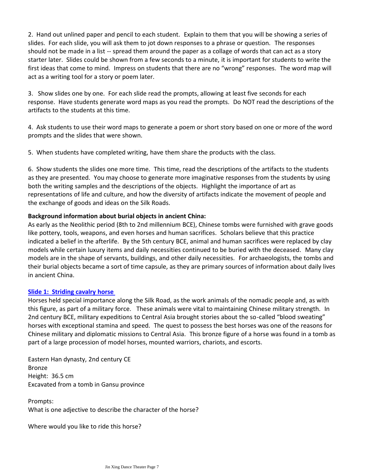2. Hand out unlined paper and pencil to each student. Explain to them that you will be showing a series of slides. For each slide, you will ask them to jot down responses to a phrase or question. The responses should not be made in a list -- spread them around the paper as a collage of words that can act as a story starter later. Slides could be shown from a few seconds to a minute, it is important for students to write the first ideas that come to mind. Impress on students that there are no "wrong" responses. The word map will act as a writing tool for a story or poem later.

3. Show slides one by one. For each slide read the prompts, allowing at least five seconds for each response. Have students generate word maps as you read the prompts. Do NOT read the descriptions of the artifacts to the students at this time.

4. Ask students to use their word maps to generate a poem or short story based on one or more of the word prompts and the slides that were shown.

5. When students have completed writing, have them share the products with the class.

6. Show students the slides one more time. This time, read the descriptions of the artifacts to the students as they are presented. You may choose to generate more imaginative responses from the students by using both the writing samples and the descriptions of the objects. Highlight the importance of art as representations of life and culture, and how the diversity of artifacts indicate the movement of people and the exchange of goods and ideas on the Silk Roads.

#### **Background information about burial objects in ancient China:**

As early as the Neolithic period (8th to 2nd millennium BCE), Chinese tombs were furnished with grave goods like pottery, tools, weapons, and even horses and human sacrifices. Scholars believe that this practice indicated a belief in the afterlife. By the 5th century BCE, animal and human sacrifices were replaced by clay models while certain luxury items and daily necessities continued to be buried with the deceased. Many clay models are in the shape of servants, buildings, and other daily necessities. For archaeologists, the tombs and their burial objects became a sort of time capsule, as they are primary sources of information about daily lives in ancient China.

#### **Slide 1: [Striding cavalry horse](http://sites.asiasociety.org/arts/monksandmerchants/img/hh_pic01_lg.jpg)**

Horses held special importance along the Silk Road, as the work animals of the nomadic people and, as with this figure, as part of a military force. These animals were vital to maintaining Chinese military strength. In 2nd century BCE, military expeditions to Central Asia brought stories about the so-called "blood sweating" horses with exceptional stamina and speed. The quest to possess the best horses was one of the reasons for Chinese military and diplomatic missions to Central Asia. This bronze figure of a horse was found in a tomb as part of a large procession of model horses, mounted warriors, chariots, and escorts.

Eastern Han dynasty, 2nd century CE Bronze Height: 36.5 cm Excavated from a tomb in Gansu province

Prompts: What is one adjective to describe the character of the horse?

Where would you like to ride this horse?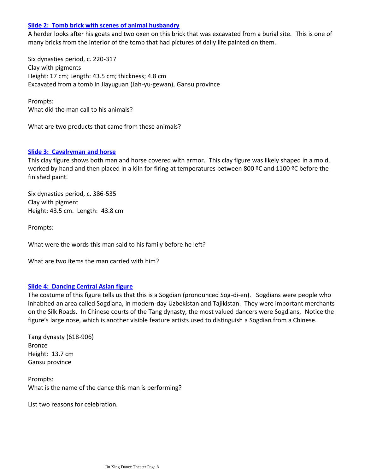#### **Slide 2: [Tomb brick with scenes of animal husbandry](http://sites.asiasociety.org/arts/monksandmerchants/img/hh_pic05_lg.jpg)**

A herder looks after his goats and two oxen on this brick that was excavated from a burial site. This is one of many bricks from the interior of the tomb that had pictures of daily life painted on them.

Six dynasties period, c. 220-317 Clay with pigments Height: 17 cm; Length: 43.5 cm; thickness; 4.8 cm Excavated from a tomb in Jiayuguan (Jah-yu-gewan), Gansu province

Prompts: What did the man call to his animals?

What are two products that came from these animals?

#### **Slide 3: [Cavalryman and horse](http://sites.asiasociety.org/arts/monksandmerchants/rulers.htm)**

This clay figure shows both man and horse covered with armor. This clay figure was likely shaped in a mold, worked by hand and then placed in a kiln for firing at temperatures between 800 °C and 1100 °C before the finished paint.

Six dynasties period, c. 386-535 Clay with pigment Height: 43.5 cm. Length: 43.8 cm

Prompts:

What were the words this man said to his family before he left?

What are two items the man carried with him?

#### **Slide 4: [Dancing Central Asian figure](http://sites.asiasociety.org/arts/monksandmerchants/img/in_pic04_lg.jpg)**

The costume of this figure tells us that this is a Sogdian (pronounced Sog-di-en). Sogdians were people who inhabited an area called Sogdiana, in modern-day Uzbekistan and Tajikistan. They were important merchants on the Silk Roads. In Chinese courts of the Tang dynasty, the most valued dancers were Sogdians. Notice the figure's large nose, which is another visible feature artists used to distinguish a Sogdian from a Chinese.

Tang dynasty (618-906) Bronze Height: 13.7 cm Gansu province

Prompts: What is the name of the dance this man is performing?

List two reasons for celebration.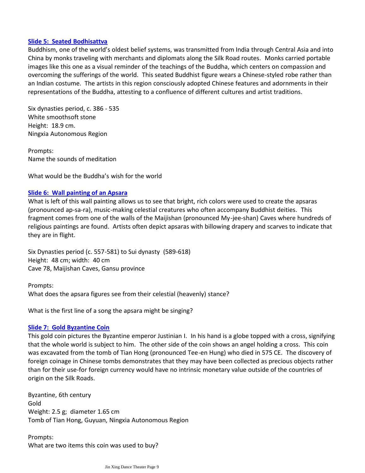#### **Slide 5: [Seated Bodhisattva](http://sites.asiasociety.org/arts/monksandmerchants/img/ct_pic01_lg.jpg)**

Buddhism, one of the world's oldest belief systems, was transmitted from India through Central Asia and into China by monks traveling with merchants and diplomats along the Silk Road routes. Monks carried portable images like this one as a visual reminder of the teachings of the Buddha, which centers on compassion and overcoming the sufferings of the world. This seated Buddhist figure wears a Chinese-styled robe rather than an Indian costume. The artists in this region consciously adopted Chinese features and adornments in their representations of the Buddha, attesting to a confluence of different cultures and artist traditions.

Six dynasties period, c. 386 - 535 White smoothsoft stone Height: 18.9 cm. Ningxia Autonomous Region

Prompts: Name the sounds of meditation

What would be the Buddha's wish for the world

#### **Slide 6: [Wall painting of an Apsara](http://sites.asiasociety.org/arts/monksandmerchants/img/ct_pic04_lg.jpg)**

What is left of this wall painting allows us to see that bright, rich colors were used to create the apsaras (pronounced ap-sa-ra), music-making celestial creatures who often accompany Buddhist deities. This fragment comes from one of the walls of the Maijishan (pronounced My-jee-shan) Caves where hundreds of religious paintings are found. Artists often depict apsaras with billowing drapery and scarves to indicate that they are in flight.

Six Dynasties period (c. 557-581) to Sui dynasty (589-618) Height: 48 cm; width: 40 cm Cave 78, Maijishan Caves, Gansu province

Prompts: What does the apsara figures see from their celestial (heavenly) stance?

What is the first line of a song the apsara might be singing?

#### **Slide 7: [Gold Byzantine Coin](http://sites.asiasociety.org/arts/monksandmerchants/img/mc_pic05_lg.jpg)**

This gold coin pictures the Byzantine emperor Justinian I. In his hand is a globe topped with a cross, signifying that the whole world is subject to him. The other side of the coin shows an angel holding a cross. This coin was excavated from the tomb of Tian Hong (pronounced Tee-en Hung) who died in 575 CE. The discovery of foreign coinage in Chinese tombs demonstrates that they may have been collected as precious objects rather than for their use-for foreign currency would have no intrinsic monetary value outside of the countries of origin on the Silk Roads.

Byzantine, 6th century Gold Weight: 2.5 g; diameter 1.65 cm Tomb of Tian Hong, Guyuan, Ningxia Autonomous Region

Prompts: What are two items this coin was used to buy?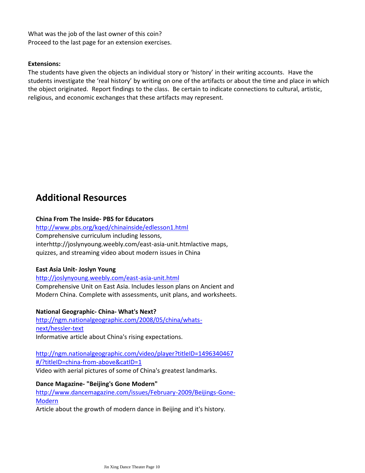What was the job of the last owner of this coin? Proceed to the last page for an extension exercises.

#### **Extensions:**

The students have given the objects an individual story or 'history' in their writing accounts. Have the students investigate the 'real history' by writing on one of the artifacts or about the time and place in which the object originated. Report findings to the class. Be certain to indicate connections to cultural, artistic, religious, and economic exchanges that these artifacts may represent.

### **Additional Resources**

#### **China From The Inside- PBS for Educators**

<http://www.pbs.org/kqed/chinainside/edlesson1.html> Comprehensive curriculum including lessons, interhttp://joslynyoung.weebly.com/east-asia-unit.htmlactive maps, quizzes, and streaming video about modern issues in China

#### **East Asia Unit- Joslyn Young**

<http://joslynyoung.weebly.com/east-asia-unit.html>

Comprehensive Unit on East Asia. Includes lesson plans on Ancient and Modern China. Complete with assessments, unit plans, and worksheets.

#### **National Geographic- China- What's Next?**

[http://ngm.nationalgeographic.com/2008/05/china/whats](http://ngm.nationalgeographic.com/2008/05/china/whats-next/hessler-text)[next/hessler-text](http://ngm.nationalgeographic.com/2008/05/china/whats-next/hessler-text) Informative article about China's rising expectations.

[http://ngm.nationalgeographic.com/video/player?titleID=1496340467](http://ngm.nationalgeographic.com/video/player?titleID=1496340467#/?titleID=china-from-above&catID=1) [#/?titleID=china-from-above&catID=1](http://ngm.nationalgeographic.com/video/player?titleID=1496340467#/?titleID=china-from-above&catID=1) Video with aerial pictures of some of China's greatest landmarks.

**Dance Magazine- "Beijing's Gone Modern"**

[http://www.dancemagazine.com/issues/February-2009/Beijings-Gone-](http://www.dancemagazine.com/issues/February-2009/Beijings-Gone-Modern)[Modern](http://www.dancemagazine.com/issues/February-2009/Beijings-Gone-Modern)

Article about the growth of modern dance in Beijing and it's history.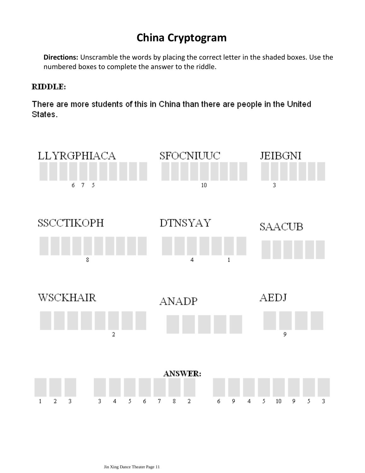# **China Cryptogram**

**Directions:** Unscramble the words by placing the correct letter in the shaded boxes. Use the numbered boxes to complete the answer to the riddle.

### RIDDLE:

There are more students of this in China than there are people in the United States.

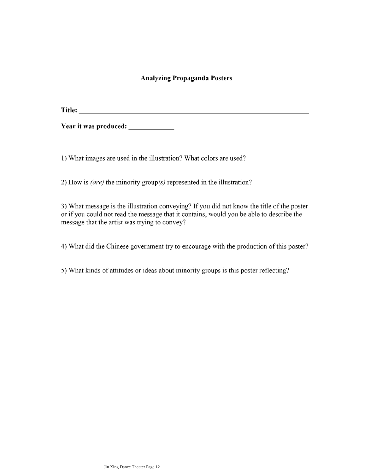#### **Analyzing Propaganda Posters**

Year it was produced:

1) What images are used in the illustration? What colors are used?

2) How is *(are)* the minority group( $s$ ) represented in the illustration?

3) What message is the illustration conveying? If you did not know the title of the poster or if you could not read the message that it contains, would you be able to describe the message that the artist was trying to convey?

4) What did the Chinese government try to encourage with the production of this poster?

5) What kinds of attitudes or ideas about minority groups is this poster reflecting?